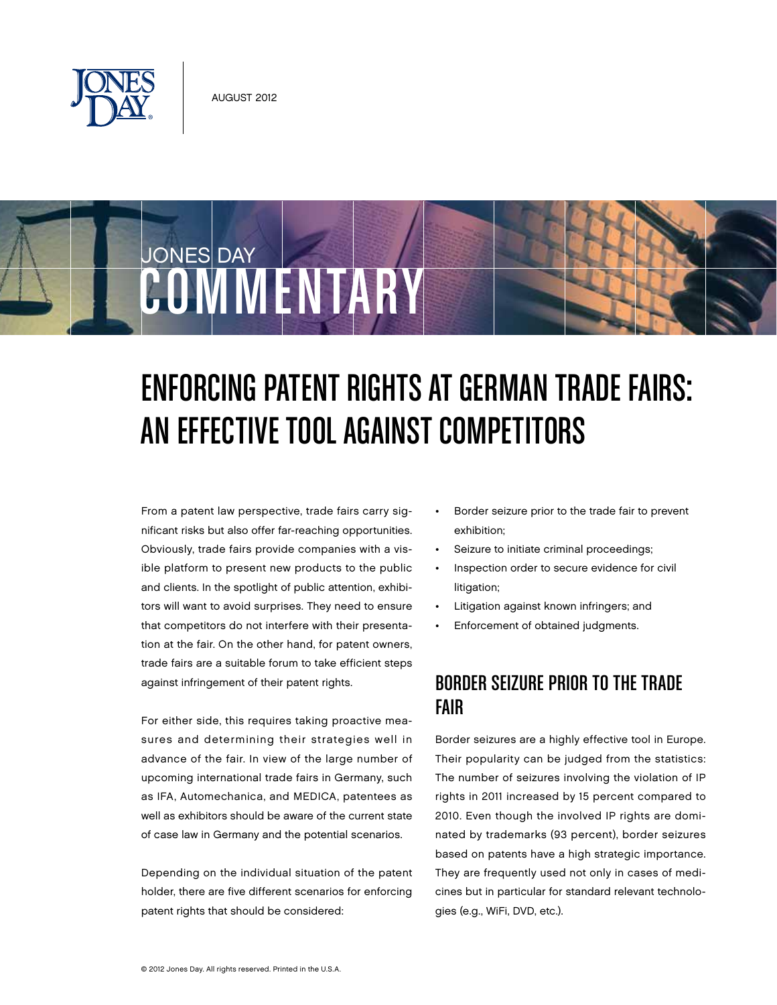

JONES DAY

# Enforcing Patent Rights at German Trade Fairs: An Effective Tool Against Competitors

From a patent law perspective, trade fairs carry significant risks but also offer far-reaching opportunities. Obviously, trade fairs provide companies with a visible platform to present new products to the public and clients. In the spotlight of public attention, exhibitors will want to avoid surprises. They need to ensure that competitors do not interfere with their presentation at the fair. On the other hand, for patent owners, trade fairs are a suitable forum to take efficient steps against infringement of their patent rights.

COMMENTARY

For either side, this requires taking proactive measures and determining their strategies well in advance of the fair. In view of the large number of upcoming international trade fairs in Germany, such as IFA, Automechanica, and MEDICA, patentees as well as exhibitors should be aware of the current state of case law in Germany and the potential scenarios.

Depending on the individual situation of the patent holder, there are five different scenarios for enforcing patent rights that should be considered:

- Border seizure prior to the trade fair to prevent exhibition;
- Seizure to initiate criminal proceedings;
- Inspection order to secure evidence for civil litigation;
- Litigation against known infringers; and
- Enforcement of obtained judgments.

## Border Seizure Prior to the Trade Fair

Border seizures are a highly effective tool in Europe. Their popularity can be judged from the statistics: The number of seizures involving the violation of IP rights in 2011 increased by 15 percent compared to 2010. Even though the involved IP rights are dominated by trademarks (93 percent), border seizures based on patents have a high strategic importance. They are frequently used not only in cases of medicines but in particular for standard relevant technologies (e.g., WiFi, DVD, etc.).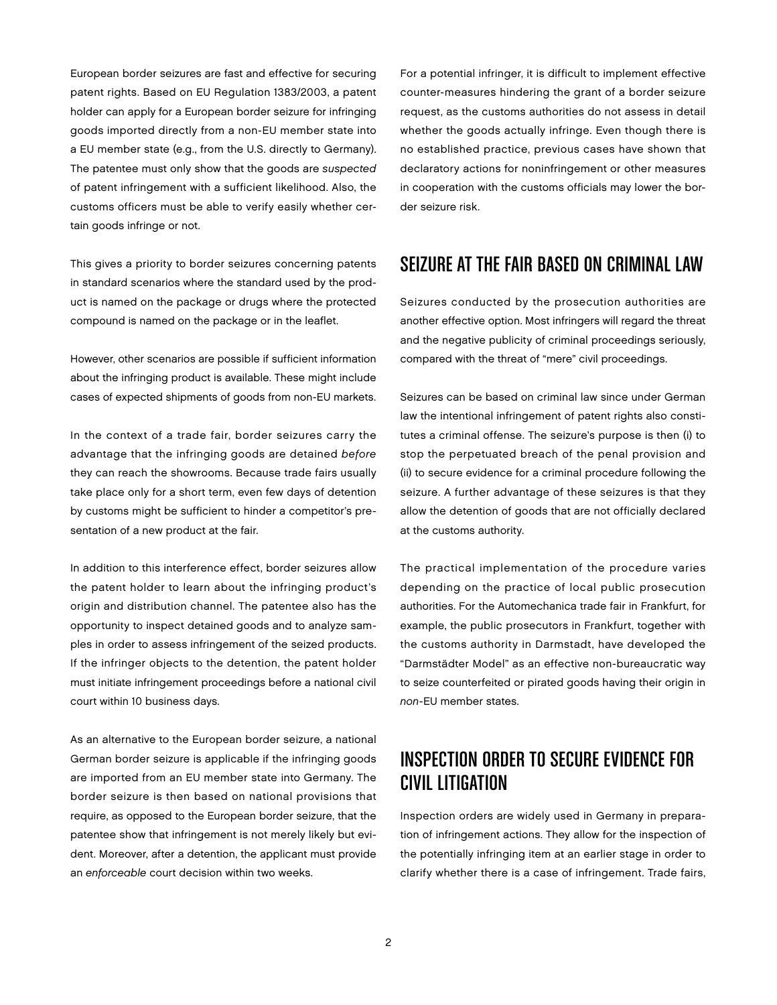European border seizures are fast and effective for securing patent rights. Based on EU Regulation 1383/2003, a patent holder can apply for a European border seizure for infringing goods imported directly from a non-EU member state into a EU member state (e.g., from the U.S. directly to Germany). The patentee must only show that the goods are suspected of patent infringement with a sufficient likelihood. Also, the customs officers must be able to verify easily whether certain goods infringe or not.

This gives a priority to border seizures concerning patents in standard scenarios where the standard used by the product is named on the package or drugs where the protected compound is named on the package or in the leaflet.

However, other scenarios are possible if sufficient information about the infringing product is available. These might include cases of expected shipments of goods from non-EU markets.

In the context of a trade fair, border seizures carry the advantage that the infringing goods are detained before they can reach the showrooms. Because trade fairs usually take place only for a short term, even few days of detention by customs might be sufficient to hinder a competitor's presentation of a new product at the fair.

In addition to this interference effect, border seizures allow the patent holder to learn about the infringing product's origin and distribution channel. The patentee also has the opportunity to inspect detained goods and to analyze samples in order to assess infringement of the seized products. If the infringer objects to the detention, the patent holder must initiate infringement proceedings before a national civil court within 10 business days.

As an alternative to the European border seizure, a national German border seizure is applicable if the infringing goods are imported from an EU member state into Germany. The border seizure is then based on national provisions that require, as opposed to the European border seizure, that the patentee show that infringement is not merely likely but evident. Moreover, after a detention, the applicant must provide an enforceable court decision within two weeks.

For a potential infringer, it is difficult to implement effective counter-measures hindering the grant of a border seizure request, as the customs authorities do not assess in detail whether the goods actually infringe. Even though there is no established practice, previous cases have shown that declaratory actions for noninfringement or other measures in cooperation with the customs officials may lower the border seizure risk.

#### Seizure at the Fair Based on Criminal Law

Seizures conducted by the prosecution authorities are another effective option. Most infringers will regard the threat and the negative publicity of criminal proceedings seriously, compared with the threat of "mere" civil proceedings.

Seizures can be based on criminal law since under German law the intentional infringement of patent rights also constitutes a criminal offense. The seizure's purpose is then (i) to stop the perpetuated breach of the penal provision and (ii) to secure evidence for a criminal procedure following the seizure. A further advantage of these seizures is that they allow the detention of goods that are not officially declared at the customs authority.

The practical implementation of the procedure varies depending on the practice of local public prosecution authorities. For the Automechanica trade fair in Frankfurt, for example, the public prosecutors in Frankfurt, together with the customs authority in Darmstadt, have developed the "Darmstädter Model" as an effective non-bureaucratic way to seize counterfeited or pirated goods having their origin in non-EU member states.

### Inspection Order to Secure Evidence for Civil Litigation

Inspection orders are widely used in Germany in preparation of infringement actions. They allow for the inspection of the potentially infringing item at an earlier stage in order to clarify whether there is a case of infringement. Trade fairs,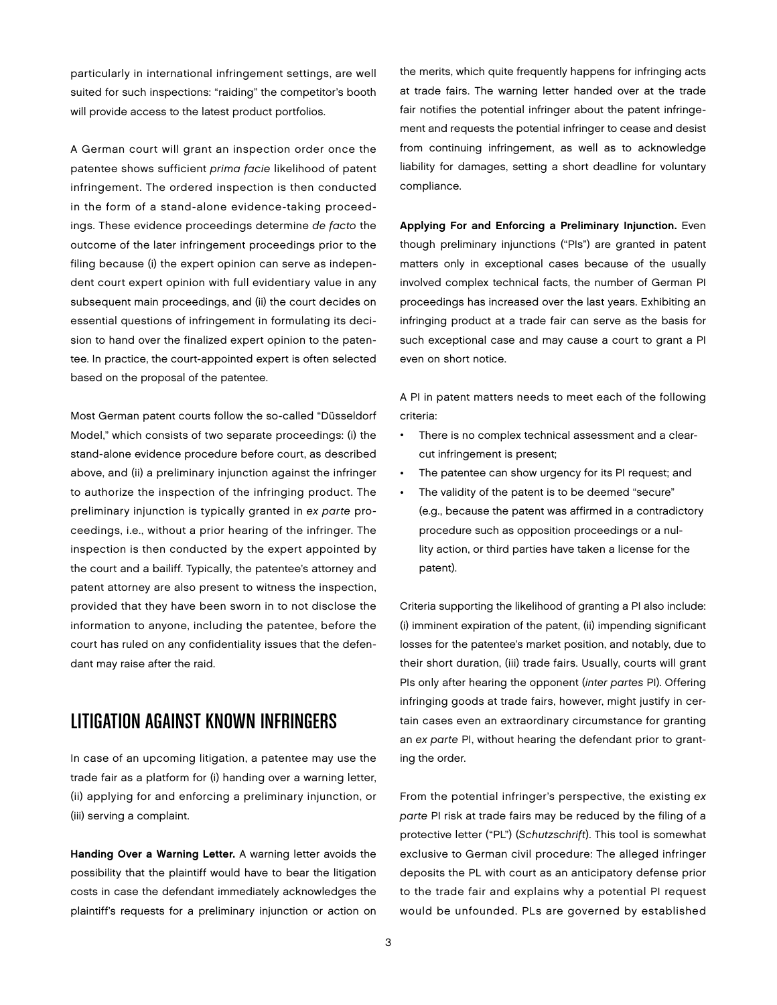particularly in international infringement settings, are well suited for such inspections: "raiding" the competitor's booth will provide access to the latest product portfolios.

A German court will grant an inspection order once the patentee shows sufficient prima facie likelihood of patent infringement. The ordered inspection is then conducted in the form of a stand-alone evidence-taking proceedings. These evidence proceedings determine de facto the outcome of the later infringement proceedings prior to the filing because (i) the expert opinion can serve as independent court expert opinion with full evidentiary value in any subsequent main proceedings, and (ii) the court decides on essential questions of infringement in formulating its decision to hand over the finalized expert opinion to the patentee. In practice, the court-appointed expert is often selected based on the proposal of the patentee.

Most German patent courts follow the so-called "Düsseldorf Model," which consists of two separate proceedings: (i) the stand-alone evidence procedure before court, as described above, and (ii) a preliminary injunction against the infringer to authorize the inspection of the infringing product. The preliminary injunction is typically granted in ex parte proceedings, i.e., without a prior hearing of the infringer. The inspection is then conducted by the expert appointed by the court and a bailiff. Typically, the patentee's attorney and patent attorney are also present to witness the inspection, provided that they have been sworn in to not disclose the information to anyone, including the patentee, before the court has ruled on any confidentiality issues that the defendant may raise after the raid.

### Litigation Against Known Infringers

In case of an upcoming litigation, a patentee may use the trade fair as a platform for (i) handing over a warning letter, (ii) applying for and enforcing a preliminary injunction, or (iii) serving a complaint.

Handing Over a Warning Letter. A warning letter avoids the possibility that the plaintiff would have to bear the litigation costs in case the defendant immediately acknowledges the plaintiff's requests for a preliminary injunction or action on

the merits, which quite frequently happens for infringing acts at trade fairs. The warning letter handed over at the trade fair notifies the potential infringer about the patent infringement and requests the potential infringer to cease and desist from continuing infringement, as well as to acknowledge liability for damages, setting a short deadline for voluntary compliance.

Applying For and Enforcing a Preliminary Injunction. Even though preliminary injunctions ("PIs") are granted in patent matters only in exceptional cases because of the usually involved complex technical facts, the number of German PI proceedings has increased over the last years. Exhibiting an infringing product at a trade fair can serve as the basis for such exceptional case and may cause a court to grant a PI even on short notice.

A PI in patent matters needs to meet each of the following criteria:

- There is no complex technical assessment and a clearcut infringement is present;
- The patentee can show urgency for its PI request; and
- The validity of the patent is to be deemed "secure" (e.g., because the patent was affirmed in a contradictory procedure such as opposition proceedings or a nullity action, or third parties have taken a license for the patent).

Criteria supporting the likelihood of granting a PI also include: (i) imminent expiration of the patent, (ii) impending significant losses for the patentee's market position, and notably, due to their short duration, (iii) trade fairs. Usually, courts will grant PIs only after hearing the opponent (inter partes PI). Offering infringing goods at trade fairs, however, might justify in certain cases even an extraordinary circumstance for granting an ex parte PI, without hearing the defendant prior to granting the order.

From the potential infringer's perspective, the existing ex parte PI risk at trade fairs may be reduced by the filing of a protective letter ("PL") (Schutzschrift). This tool is somewhat exclusive to German civil procedure: The alleged infringer deposits the PL with court as an anticipatory defense prior to the trade fair and explains why a potential PI request would be unfounded. PLs are governed by established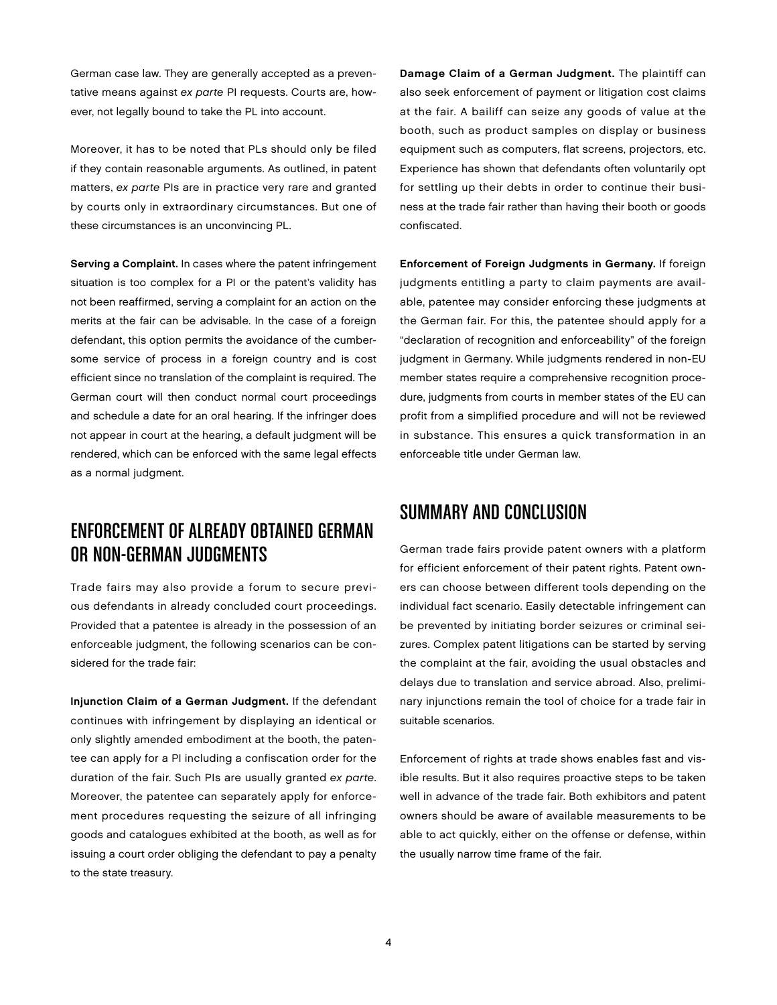German case law. They are generally accepted as a preventative means against ex parte PI requests. Courts are, however, not legally bound to take the PL into account.

Moreover, it has to be noted that PLs should only be filed if they contain reasonable arguments. As outlined, in patent matters, ex parte PIs are in practice very rare and granted by courts only in extraordinary circumstances. But one of these circumstances is an unconvincing PL.

Serving a Complaint. In cases where the patent infringement situation is too complex for a PI or the patent's validity has not been reaffirmed, serving a complaint for an action on the merits at the fair can be advisable. In the case of a foreign defendant, this option permits the avoidance of the cumbersome service of process in a foreign country and is cost efficient since no translation of the complaint is required. The German court will then conduct normal court proceedings and schedule a date for an oral hearing. If the infringer does not appear in court at the hearing, a default judgment will be rendered, which can be enforced with the same legal effects as a normal judgment.

#### Enforcement of Already Obtained German or Non-German Judgments

Trade fairs may also provide a forum to secure previous defendants in already concluded court proceedings. Provided that a patentee is already in the possession of an enforceable judgment, the following scenarios can be considered for the trade fair:

Injunction Claim of a German Judgment. If the defendant continues with infringement by displaying an identical or only slightly amended embodiment at the booth, the patentee can apply for a PI including a confiscation order for the duration of the fair. Such PIs are usually granted ex parte. Moreover, the patentee can separately apply for enforcement procedures requesting the seizure of all infringing goods and catalogues exhibited at the booth, as well as for issuing a court order obliging the defendant to pay a penalty to the state treasury.

Damage Claim of a German Judgment. The plaintiff can also seek enforcement of payment or litigation cost claims at the fair. A bailiff can seize any goods of value at the booth, such as product samples on display or business equipment such as computers, flat screens, projectors, etc. Experience has shown that defendants often voluntarily opt for settling up their debts in order to continue their business at the trade fair rather than having their booth or goods confiscated.

Enforcement of Foreign Judgments in Germany. If foreign judgments entitling a party to claim payments are available, patentee may consider enforcing these judgments at the German fair. For this, the patentee should apply for a "declaration of recognition and enforceability" of the foreign judgment in Germany. While judgments rendered in non-EU member states require a comprehensive recognition procedure, judgments from courts in member states of the EU can profit from a simplified procedure and will not be reviewed in substance. This ensures a quick transformation in an enforceable title under German law.

#### Summary and Conclusion

German trade fairs provide patent owners with a platform for efficient enforcement of their patent rights. Patent owners can choose between different tools depending on the individual fact scenario. Easily detectable infringement can be prevented by initiating border seizures or criminal seizures. Complex patent litigations can be started by serving the complaint at the fair, avoiding the usual obstacles and delays due to translation and service abroad. Also, preliminary injunctions remain the tool of choice for a trade fair in suitable scenarios.

Enforcement of rights at trade shows enables fast and visible results. But it also requires proactive steps to be taken well in advance of the trade fair. Both exhibitors and patent owners should be aware of available measurements to be able to act quickly, either on the offense or defense, within the usually narrow time frame of the fair.